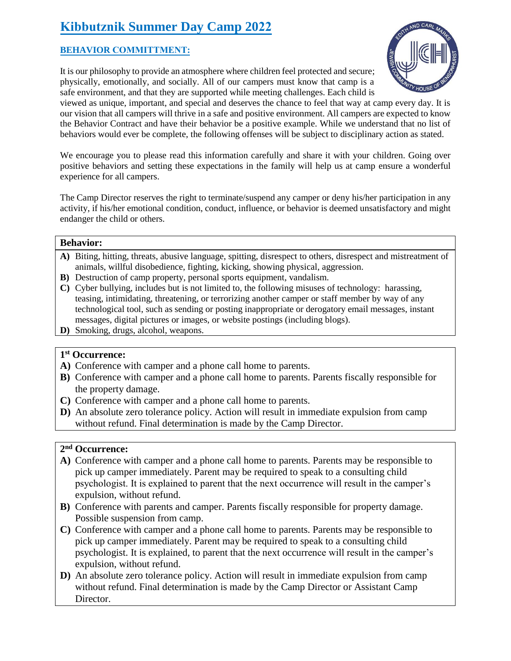# **Kibbutznik Summer Day Camp 2022**

# **BEHAVIOR COMMITTMENT:**

It is our philosophy to provide an atmosphere where children feel protected and secure; physically, emotionally, and socially. All of our campers must know that camp is a safe environment, and that they are supported while meeting challenges. Each child is



viewed as unique, important, and special and deserves the chance to feel that way at camp every day. It is our vision that all campers will thrive in a safe and positive environment. All campers are expected to know the Behavior Contract and have their behavior be a positive example. While we understand that no list of behaviors would ever be complete, the following offenses will be subject to disciplinary action as stated.

We encourage you to please read this information carefully and share it with your children. Going over positive behaviors and setting these expectations in the family will help us at camp ensure a wonderful experience for all campers.

The Camp Director reserves the right to terminate/suspend any camper or deny his/her participation in any activity, if his/her emotional condition, conduct, influence, or behavior is deemed unsatisfactory and might endanger the child or others.

#### **Behavior:**

- **A)** Biting, hitting, threats, abusive language, spitting, disrespect to others, disrespect and mistreatment of animals, willful disobedience, fighting, kicking, showing physical, aggression.
- **B)** Destruction of camp property, personal sports equipment, vandalism.
- **C)** Cyber bullying, includes but is not limited to, the following misuses of technology: harassing, teasing, intimidating, threatening, or terrorizing another camper or staff member by way of any technological tool, such as sending or posting inappropriate or derogatory email messages, instant messages, digital pictures or images, or website postings (including blogs).
- **D)** Smoking, drugs, alcohol, weapons.

## **1 st Occurrence:**

- **A)** Conference with camper and a phone call home to parents.
- **B)** Conference with camper and a phone call home to parents. Parents fiscally responsible for the property damage.
- **C)** Conference with camper and a phone call home to parents.
- **D)** An absolute zero tolerance policy. Action will result in immediate expulsion from camp without refund. Final determination is made by the Camp Director.

## **2 nd Occurrence:**

- **A)** Conference with camper and a phone call home to parents. Parents may be responsible to pick up camper immediately. Parent may be required to speak to a consulting child psychologist. It is explained to parent that the next occurrence will result in the camper's expulsion, without refund.
- **B)** Conference with parents and camper. Parents fiscally responsible for property damage. Possible suspension from camp.
- **C)** Conference with camper and a phone call home to parents. Parents may be responsible to pick up camper immediately. Parent may be required to speak to a consulting child psychologist. It is explained, to parent that the next occurrence will result in the camper's expulsion, without refund.
- **D)** An absolute zero tolerance policy. Action will result in immediate expulsion from camp without refund. Final determination is made by the Camp Director or Assistant Camp Director.